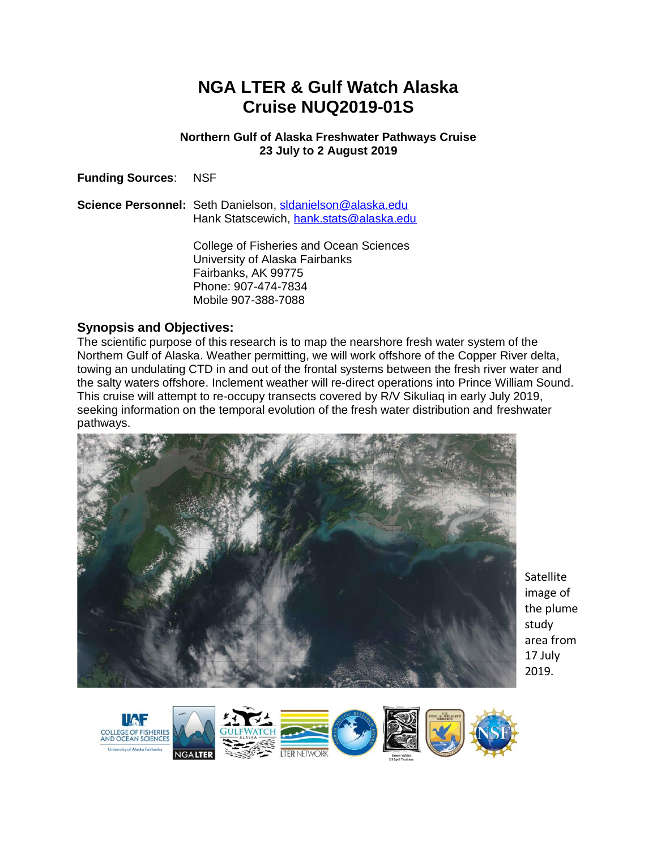# **NGA LTER & Gulf Watch Alaska Cruise NUQ2019-01S**

#### **Northern Gulf of Alaska Freshwater Pathways Cruise 23 July to 2 August 2019**

**Funding Sources**: NSF

**Science Personnel:** Seth Danielson, [sldanielson@alaska.edu](mailto:sldanielson@alaska.edu) Hank Statscewich, [hank.stats@alaska.edu](mailto:hank.stats@alaska.edu)

> College of Fisheries and Ocean Sciences University of Alaska Fairbanks Fairbanks, AK 99775 Phone: 907-474-7834 Mobile 907-388-7088

# **Synopsis and Objectives:**

The scientific purpose of this research is to map the nearshore fresh water system of the Northern Gulf of Alaska. Weather permitting, we will work offshore of the Copper River delta, towing an undulating CTD in and out of the frontal systems between the fresh river water and the salty waters offshore. Inclement weather will re-direct operations into Prince William Sound. This cruise will attempt to re-occupy transects covered by R/V Sikuliaq in early July 2019, seeking information on the temporal evolution of the fresh water distribution and freshwater pathways.



**Satellite** image of the plume study area from 17 July 2019.

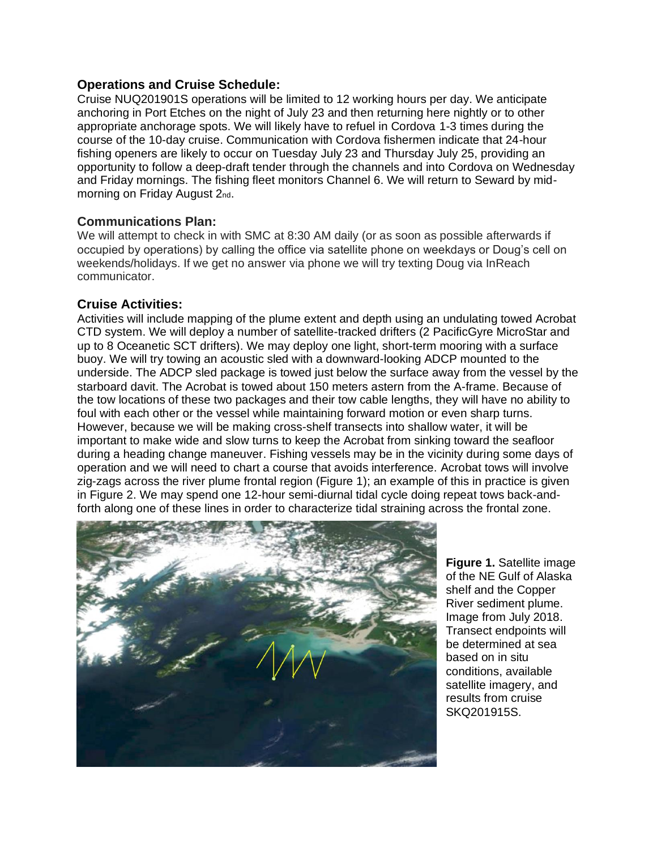#### **Operations and Cruise Schedule:**

Cruise NUQ201901S operations will be limited to 12 working hours per day. We anticipate anchoring in Port Etches on the night of July 23 and then returning here nightly or to other appropriate anchorage spots. We will likely have to refuel in Cordova 1-3 times during the course of the 10-day cruise. Communication with Cordova fishermen indicate that 24-hour fishing openers are likely to occur on Tuesday July 23 and Thursday July 25, providing an opportunity to follow a deep-draft tender through the channels and into Cordova on Wednesday and Friday mornings. The fishing fleet monitors Channel 6. We will return to Seward by midmorning on Friday August 2nd.

## **Communications Plan:**

We will attempt to check in with SMC at 8:30 AM daily (or as soon as possible afterwards if occupied by operations) by calling the office via satellite phone on weekdays or Doug's cell on weekends/holidays. If we get no answer via phone we will try texting Doug via InReach communicator.

## **Cruise Activities:**

Activities will include mapping of the plume extent and depth using an undulating towed Acrobat CTD system. We will deploy a number of satellite-tracked drifters (2 PacificGyre MicroStar and up to 8 Oceanetic SCT drifters). We may deploy one light, short-term mooring with a surface buoy. We will try towing an acoustic sled with a downward-looking ADCP mounted to the underside. The ADCP sled package is towed just below the surface away from the vessel by the starboard davit. The Acrobat is towed about 150 meters astern from the A-frame. Because of the tow locations of these two packages and their tow cable lengths, they will have no ability to foul with each other or the vessel while maintaining forward motion or even sharp turns. However, because we will be making cross-shelf transects into shallow water, it will be important to make wide and slow turns to keep the Acrobat from sinking toward the seafloor during a heading change maneuver. Fishing vessels may be in the vicinity during some days of operation and we will need to chart a course that avoids interference. Acrobat tows will involve zig-zags across the river plume frontal region (Figure 1); an example of this in practice is given in Figure 2. We may spend one 12-hour semi-diurnal tidal cycle doing repeat tows back-andforth along one of these lines in order to characterize tidal straining across the frontal zone.



**Figure 1.** Satellite image of the NE Gulf of Alaska shelf and the Copper River sediment plume. Image from July 2018. Transect endpoints will be determined at sea based on in situ conditions, available satellite imagery, and results from cruise SKQ201915S.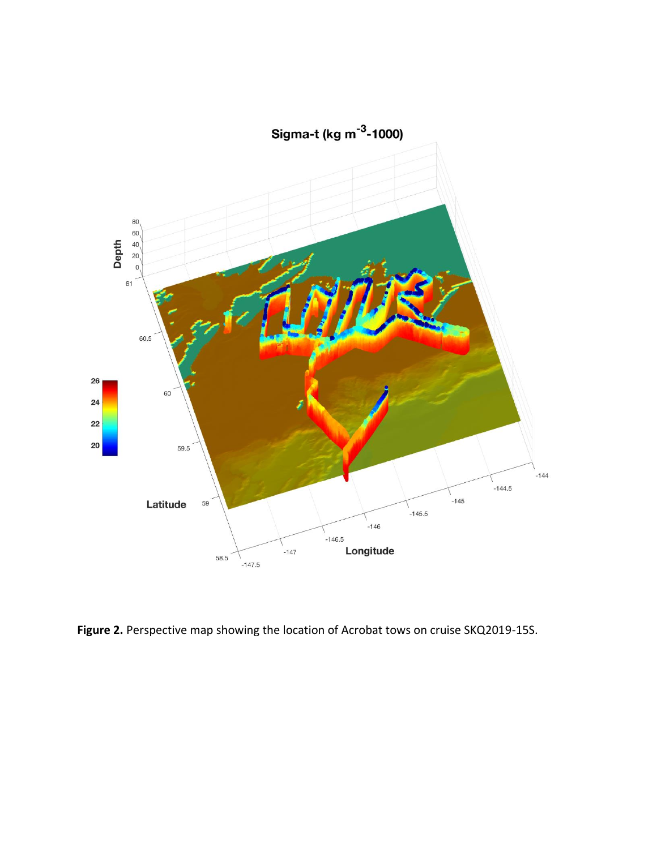

**Figure 2.** Perspective map showing the location of Acrobat tows on cruise SKQ2019-15S.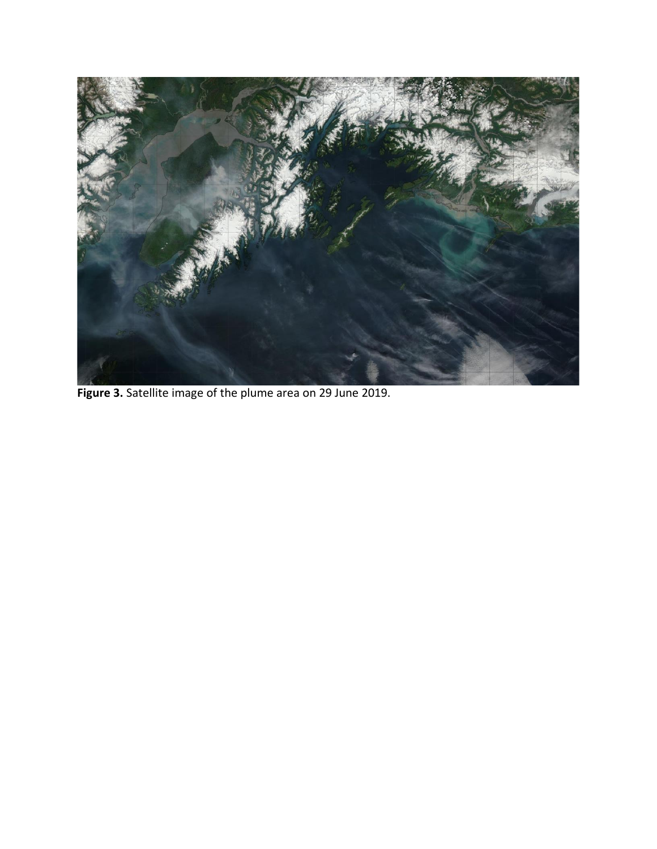

**Figure 3.** Satellite image of the plume area on 29 June 2019.